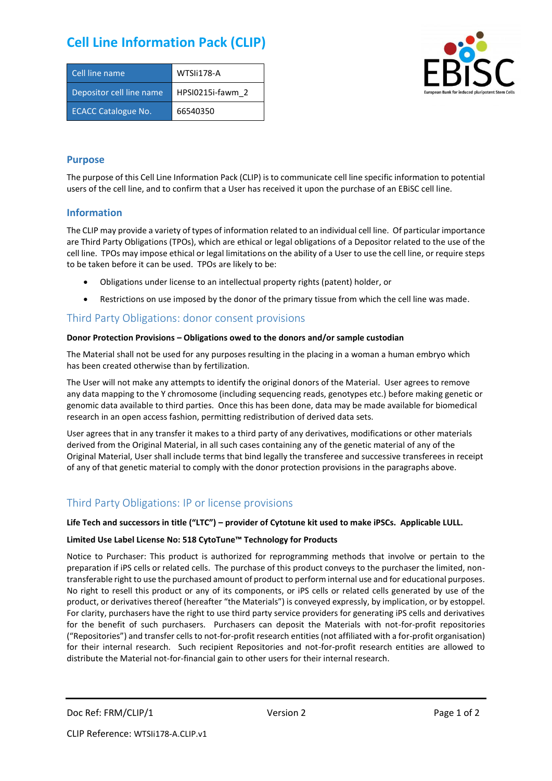# **Cell Line Information Pack (CLIP)**

| Cell line name             | WTSIi178-A       |
|----------------------------|------------------|
| Depositor cell line name   | HPSI0215i-fawm 2 |
| <b>ECACC Catalogue No.</b> | 66540350         |



### **Purpose**

The purpose of this Cell Line Information Pack (CLIP) is to communicate cell line specific information to potential users of the cell line, and to confirm that a User has received it upon the purchase of an EBiSC cell line.

### **Information**

The CLIP may provide a variety of types of information related to an individual cell line. Of particular importance are Third Party Obligations (TPOs), which are ethical or legal obligations of a Depositor related to the use of the cell line. TPOs may impose ethical or legal limitations on the ability of a User to use the cell line, or require steps to be taken before it can be used. TPOs are likely to be:

- Obligations under license to an intellectual property rights (patent) holder, or
- Restrictions on use imposed by the donor of the primary tissue from which the cell line was made.

## Third Party Obligations: donor consent provisions

#### **Donor Protection Provisions – Obligations owed to the donors and/or sample custodian**

The Material shall not be used for any purposes resulting in the placing in a woman a human embryo which has been created otherwise than by fertilization.

The User will not make any attempts to identify the original donors of the Material. User agrees to remove any data mapping to the Y chromosome (including sequencing reads, genotypes etc.) before making genetic or genomic data available to third parties. Once this has been done, data may be made available for biomedical research in an open access fashion, permitting redistribution of derived data sets.

User agrees that in any transfer it makes to a third party of any derivatives, modifications or other materials derived from the Original Material, in all such cases containing any of the genetic material of any of the Original Material, User shall include terms that bind legally the transferee and successive transferees in receipt of any of that genetic material to comply with the donor protection provisions in the paragraphs above.

# Third Party Obligations: IP or license provisions

#### **Life Tech and successors in title ("LTC") – provider of Cytotune kit used to make iPSCs. Applicable LULL.**

#### **Limited Use Label License No: 518 CytoTune™ Technology for Products**

Notice to Purchaser: This product is authorized for reprogramming methods that involve or pertain to the preparation if iPS cells or related cells. The purchase of this product conveys to the purchaser the limited, nontransferable right to use the purchased amount of product to perform internal use and for educational purposes. No right to resell this product or any of its components, or iPS cells or related cells generated by use of the product, or derivatives thereof (hereafter "the Materials") is conveyed expressly, by implication, or by estoppel. For clarity, purchasers have the right to use third party service providers for generating iPS cells and derivatives for the benefit of such purchasers. Purchasers can deposit the Materials with not-for-profit repositories ("Repositories") and transfer cells to not-for-profit research entities (not affiliated with a for-profit organisation) for their internal research. Such recipient Repositories and not-for-profit research entities are allowed to distribute the Material not-for-financial gain to other users for their internal research.

Doc Ref: FRM/CLIP/1 Version 2 Version 2 Page 1 of 2